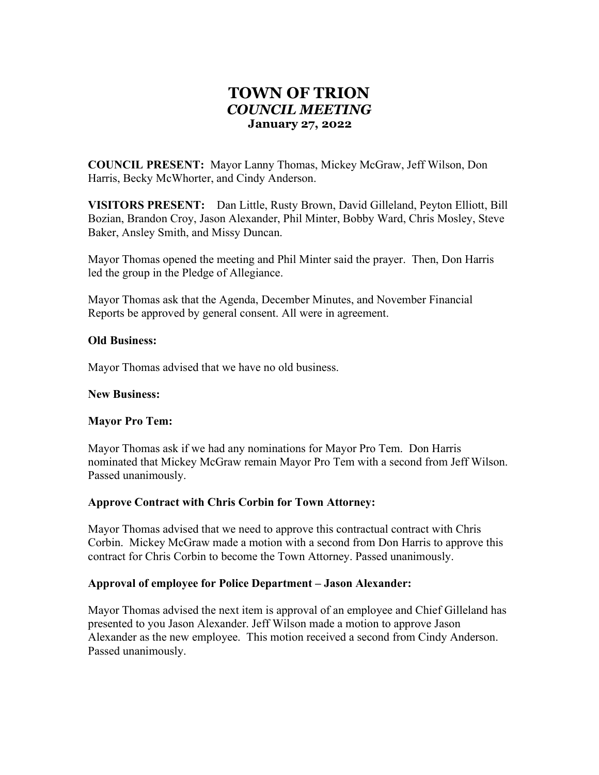# TOWN OF TRION COUNCIL MEETING January 27, 2022

COUNCIL PRESENT: Mayor Lanny Thomas, Mickey McGraw, Jeff Wilson, Don Harris, Becky McWhorter, and Cindy Anderson.

VISITORS PRESENT: Dan Little, Rusty Brown, David Gilleland, Peyton Elliott, Bill Bozian, Brandon Croy, Jason Alexander, Phil Minter, Bobby Ward, Chris Mosley, Steve Baker, Ansley Smith, and Missy Duncan.

Mayor Thomas opened the meeting and Phil Minter said the prayer. Then, Don Harris led the group in the Pledge of Allegiance.

Mayor Thomas ask that the Agenda, December Minutes, and November Financial Reports be approved by general consent. All were in agreement.

#### Old Business:

Mayor Thomas advised that we have no old business.

#### New Business:

#### Mayor Pro Tem:

Mayor Thomas ask if we had any nominations for Mayor Pro Tem. Don Harris nominated that Mickey McGraw remain Mayor Pro Tem with a second from Jeff Wilson. Passed unanimously.

#### Approve Contract with Chris Corbin for Town Attorney:

Mayor Thomas advised that we need to approve this contractual contract with Chris Corbin. Mickey McGraw made a motion with a second from Don Harris to approve this contract for Chris Corbin to become the Town Attorney. Passed unanimously.

#### Approval of employee for Police Department – Jason Alexander:

Mayor Thomas advised the next item is approval of an employee and Chief Gilleland has presented to you Jason Alexander. Jeff Wilson made a motion to approve Jason Alexander as the new employee. This motion received a second from Cindy Anderson. Passed unanimously.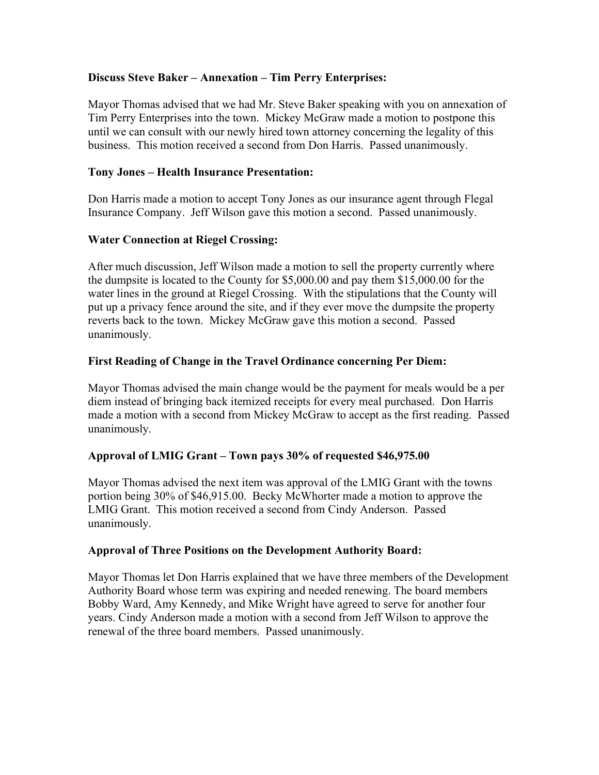# Discuss Steve Baker – Annexation – Tim Perry Enterprises:

Mayor Thomas advised that we had Mr. Steve Baker speaking with you on annexation of Tim Perry Enterprises into the town. Mickey McGraw made a motion to postpone this until we can consult with our newly hired town attorney concerning the legality of this business. This motion received a second from Don Harris. Passed unanimously.

### Tony Jones – Health Insurance Presentation:

Don Harris made a motion to accept Tony Jones as our insurance agent through Flegal Insurance Company. Jeff Wilson gave this motion a second. Passed unanimously.

#### Water Connection at Riegel Crossing:

After much discussion, Jeff Wilson made a motion to sell the property currently where the dumpsite is located to the County for \$5,000.00 and pay them \$15,000.00 for the water lines in the ground at Riegel Crossing. With the stipulations that the County will put up a privacy fence around the site, and if they ever move the dumpsite the property reverts back to the town. Mickey McGraw gave this motion a second. Passed unanimously.

# First Reading of Change in the Travel Ordinance concerning Per Diem:

Mayor Thomas advised the main change would be the payment for meals would be a per diem instead of bringing back itemized receipts for every meal purchased. Don Harris made a motion with a second from Mickey McGraw to accept as the first reading. Passed unanimously.

#### Approval of LMIG Grant – Town pays 30% of requested \$46,975.00

Mayor Thomas advised the next item was approval of the LMIG Grant with the towns portion being 30% of \$46,915.00. Becky McWhorter made a motion to approve the LMIG Grant. This motion received a second from Cindy Anderson. Passed unanimously.

#### Approval of Three Positions on the Development Authority Board:

Mayor Thomas let Don Harris explained that we have three members of the Development Authority Board whose term was expiring and needed renewing. The board members Bobby Ward, Amy Kennedy, and Mike Wright have agreed to serve for another four years. Cindy Anderson made a motion with a second from Jeff Wilson to approve the renewal of the three board members. Passed unanimously.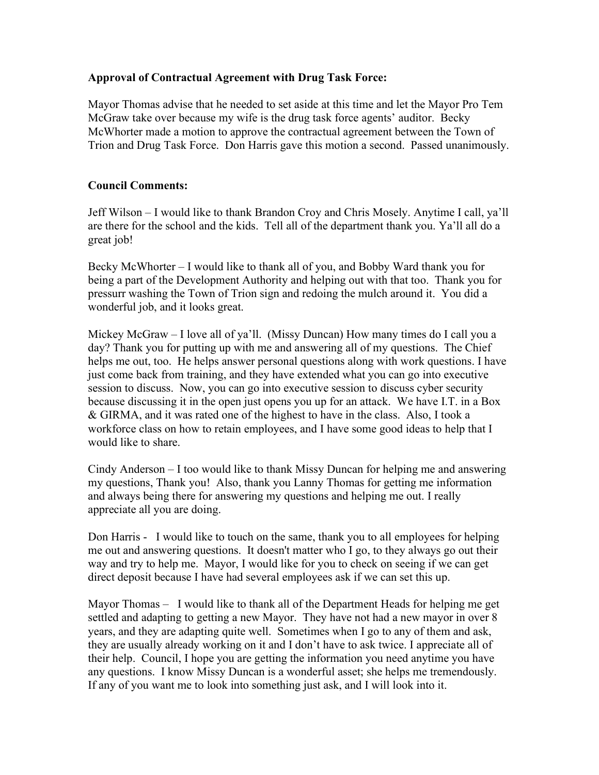# Approval of Contractual Agreement with Drug Task Force:

Mayor Thomas advise that he needed to set aside at this time and let the Mayor Pro Tem McGraw take over because my wife is the drug task force agents' auditor. Becky McWhorter made a motion to approve the contractual agreement between the Town of Trion and Drug Task Force. Don Harris gave this motion a second. Passed unanimously.

# Council Comments:

Jeff Wilson – I would like to thank Brandon Croy and Chris Mosely. Anytime I call, ya'll are there for the school and the kids. Tell all of the department thank you. Ya'll all do a great job!

Becky McWhorter – I would like to thank all of you, and Bobby Ward thank you for being a part of the Development Authority and helping out with that too. Thank you for pressurr washing the Town of Trion sign and redoing the mulch around it. You did a wonderful job, and it looks great.

Mickey McGraw – I love all of ya'll. (Missy Duncan) How many times do I call you a day? Thank you for putting up with me and answering all of my questions. The Chief helps me out, too. He helps answer personal questions along with work questions. I have just come back from training, and they have extended what you can go into executive session to discuss. Now, you can go into executive session to discuss cyber security because discussing it in the open just opens you up for an attack. We have I.T. in a Box & GIRMA, and it was rated one of the highest to have in the class. Also, I took a workforce class on how to retain employees, and I have some good ideas to help that I would like to share.

Cindy Anderson – I too would like to thank Missy Duncan for helping me and answering my questions, Thank you! Also, thank you Lanny Thomas for getting me information and always being there for answering my questions and helping me out. I really appreciate all you are doing.

Don Harris - I would like to touch on the same, thank you to all employees for helping me out and answering questions. It doesn't matter who I go, to they always go out their way and try to help me. Mayor, I would like for you to check on seeing if we can get direct deposit because I have had several employees ask if we can set this up.

Mayor Thomas – I would like to thank all of the Department Heads for helping me get settled and adapting to getting a new Mayor. They have not had a new mayor in over 8 years, and they are adapting quite well. Sometimes when I go to any of them and ask, they are usually already working on it and I don't have to ask twice. I appreciate all of their help. Council, I hope you are getting the information you need anytime you have any questions. I know Missy Duncan is a wonderful asset; she helps me tremendously. If any of you want me to look into something just ask, and I will look into it.